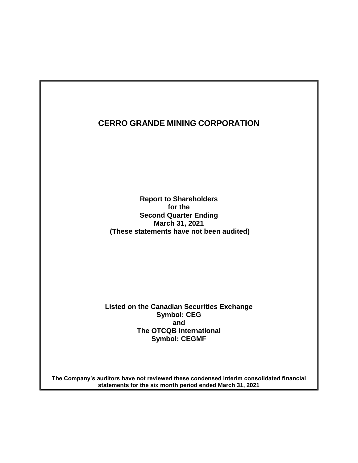**Report to Shareholders for the Second Quarter Ending March 31, 2021 (These statements have not been audited)**

**Listed on the Canadian Securities Exchange Symbol: CEG and The OTCQB International Symbol: CEGMF**

**The Company's auditors have not reviewed these condensed interim consolidated financial statements for the six month period ended March 31, 2021**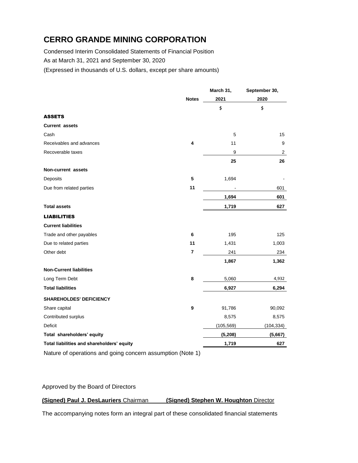Condensed Interim Consolidated Statements of Financial Position As at March 31, 2021 and September 30, 2020

(Expressed in thousands of U.S. dollars, except per share amounts)

|                                                            |                | March 31,  | September 30,  |
|------------------------------------------------------------|----------------|------------|----------------|
|                                                            | <b>Notes</b>   | 2021       | 2020           |
|                                                            |                | \$         | \$             |
| <b>ASSETS</b>                                              |                |            |                |
| <b>Current assets</b>                                      |                |            |                |
| Cash                                                       |                | 5          | 15             |
| Receivables and advances                                   | 4              | 11         | 9              |
| Recoverable taxes                                          |                | 9          | $\overline{a}$ |
|                                                            |                | 25         | 26             |
| Non-current assets                                         |                |            |                |
| Deposits                                                   | 5              | 1,694      |                |
| Due from related parties                                   | 11             |            | 601            |
|                                                            |                | 1,694      | 601            |
| <b>Total assets</b>                                        |                | 1,719      | 627            |
| <b>LIABILITIES</b>                                         |                |            |                |
| <b>Current liabilities</b>                                 |                |            |                |
| Trade and other payables                                   | 6              | 195        | 125            |
| Due to related parties                                     | 11             | 1,431      | 1,003          |
| Other debt                                                 | $\overline{7}$ | 241        | 234            |
|                                                            |                | 1,867      | 1,362          |
| <b>Non-Current liabilities</b>                             |                |            |                |
| Long Term Debt                                             | 8              | 5,060      | 4,932          |
| <b>Total liabilities</b>                                   |                | 6,927      | 6,294          |
| <b>SHAREHOLDES' DEFICIENCY</b>                             |                |            |                |
| Share capital                                              | 9              | 91,786     | 90,092         |
| Contributed surplus                                        |                | 8,575      | 8,575          |
| Deficit                                                    |                | (105, 569) | (104, 334)     |
| Total shareholders' equity                                 |                | (5, 208)   | (5,667)        |
| Total liabilities and shareholders' equity                 |                | 1,719      | 627            |
| Nature of operations and going concern assumption (Note 1) |                |            |                |

#### Approved by the Board of Directors

### **(Signed) Paul J. DesLauriers** Chairman **(Signed) Stephen W. Houghton** Director

The accompanying notes form an integral part of these consolidated financial statements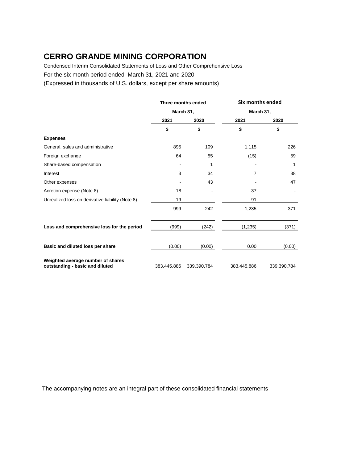Condensed Interim Consolidated Statements of Loss and Other Comprehensive Loss

For the six month period ended March 31, 2021 and 2020

(Expressed in thousands of U.S. dollars, except per share amounts)

|                                                                      | Three months ended<br>March 31, |             |             | Six months ended |
|----------------------------------------------------------------------|---------------------------------|-------------|-------------|------------------|
|                                                                      |                                 |             |             | March 31,        |
|                                                                      | 2021                            | 2020        | 2021        | 2020             |
|                                                                      | \$                              | \$          | \$          | \$               |
| <b>Expenses</b>                                                      |                                 |             |             |                  |
| General, sales and administrative                                    | 895                             | 109         | 1,115       | 226              |
| Foreign exchange                                                     | 64                              | 55          | (15)        | 59               |
| Share-based compensation                                             |                                 | 1           |             | 1                |
| Interest                                                             | 3                               | 34          | 7           | 38               |
| Other expenses                                                       |                                 | 43          |             | 47               |
| Acretion expense (Note 8)                                            | 18                              |             | 37          |                  |
| Unrealized loss on derivative liability (Note 8)                     | 19                              |             | 91          |                  |
|                                                                      | 999                             | 242         | 1,235       | 371              |
| Loss and comprehensive loss for the period                           | (999)                           | (242)       | (1,235)     | (371)            |
|                                                                      | (0.00)                          |             | 0.00        | (0.00)           |
| Basic and diluted loss per share                                     |                                 | (0.00)      |             |                  |
| Weighted average number of shares<br>outstanding - basic and diluted | 383,445,886                     | 339,390,784 | 383,445,886 | 339,390,784      |

The accompanying notes are an integral part of these consolidated financial statements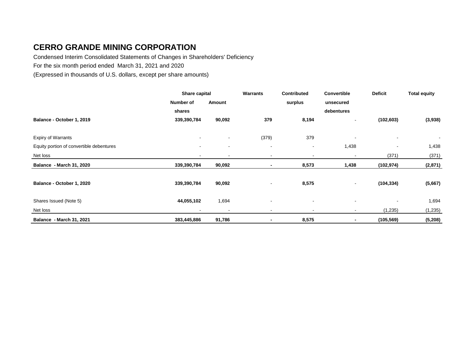Condensed Interim Consolidated Statements of Changes in Shareholders' Deficiency

For the six month period ended March 31, 2021 and 2020

(Expressed in thousands of U.S. dollars, except per share amounts)

|                                          | Share capital            |                          | Warrants                 | <b>Contributed</b>       | Convertible    | <b>Deficit</b> | <b>Total equity</b> |
|------------------------------------------|--------------------------|--------------------------|--------------------------|--------------------------|----------------|----------------|---------------------|
|                                          | Number of                | Amount                   |                          | surplus                  | unsecured      |                |                     |
|                                          | shares                   |                          |                          |                          | debentures     |                |                     |
| Balance - October 1, 2019                | 339,390,784              | 90,092                   | 379                      | 8,194                    | ۰.             | (102, 603)     | (3,938)             |
|                                          |                          |                          |                          |                          |                |                |                     |
| <b>Expiry of Warrants</b>                | $\overline{\phantom{a}}$ |                          | (379)                    | 379                      |                |                |                     |
| Equity portion of convertible debentures | $\blacksquare$           | $\overline{\phantom{a}}$ | $\overline{\phantom{a}}$ | $\overline{\phantom{a}}$ | 1,438          |                | 1,438               |
| Net loss                                 | $\overline{\phantom{a}}$ |                          |                          | $\overline{\phantom{a}}$ |                | (371)          | (371)               |
| <b>Balance - March 31, 2020</b>          | 339,390,784              | 90,092                   |                          | 8,573                    | 1,438          | (102, 974)     | (2,871)             |
| Balance - October 1, 2020                | 339,390,784              | 90,092                   |                          | 8,575                    | $\sim$         | (104, 334)     | (5,667)             |
| Shares Issued (Note 5)                   | 44,055,102               | 1,694                    | $\overline{\phantom{a}}$ | $\overline{\phantom{a}}$ | $\blacksquare$ |                | 1,694               |
| Net loss                                 |                          |                          |                          |                          |                | (1,235)        | (1, 235)            |
| Balance - March 31, 2021                 | 383,445,886              | 91,786                   |                          | 8,575                    | -              | (105, 569)     | (5, 208)            |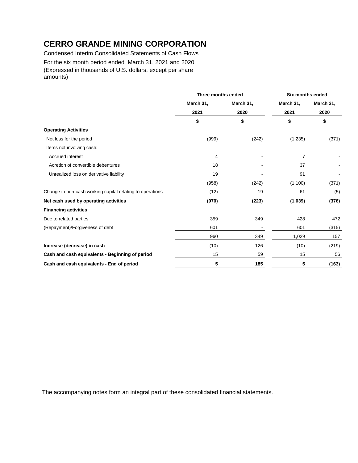Condensed Interim Consolidated Statements of Cash Flows For the six month period ended March 31, 2021 and 2020 (Expressed in thousands of U.S. dollars, except per share amounts)

|                                                           | Three months ended |           |           | <b>Six months ended</b> |  |
|-----------------------------------------------------------|--------------------|-----------|-----------|-------------------------|--|
|                                                           | March 31,          | March 31, | March 31, | March 31,<br>2020       |  |
|                                                           | 2021               | 2020      | 2021      |                         |  |
|                                                           | \$                 | \$        | \$        | \$                      |  |
| <b>Operating Activities</b>                               |                    |           |           |                         |  |
| Net loss for the period                                   | (999)              | (242)     | (1, 235)  | (371)                   |  |
| Items not involving cash:                                 |                    |           |           |                         |  |
| Accrued interest                                          | 4                  |           | 7         |                         |  |
| Acretion of convertible debentures                        | 18                 |           | 37        |                         |  |
| Unrealized loss on derivative liability                   | 19                 |           | 91        |                         |  |
|                                                           | (958)              | (242)     | (1, 100)  | (371)                   |  |
| Change in non-cash working capital relating to operations | (12)               | 19        | 61        | (5)                     |  |
| Net cash used by operating activities                     | (970)              | (223)     | (1,039)   | (376)                   |  |
| <b>Financing activities</b>                               |                    |           |           |                         |  |
| Due to related parties                                    | 359                | 349       | 428       | 472                     |  |
| (Repayment)/Forgiveness of debt                           | 601                |           | 601       | (315)                   |  |
|                                                           | 960                | 349       | 1,029     | 157                     |  |
| Increase (decrease) in cash                               | (10)               | 126       | (10)      | (219)                   |  |
| Cash and cash equivalents - Beginning of period           | 15                 | 59        | 15        | 56                      |  |
| Cash and cash equivalents - End of period                 | 5                  | 185       | 5         | (163)                   |  |

The accompanying notes form an integral part of these consolidated financial statements.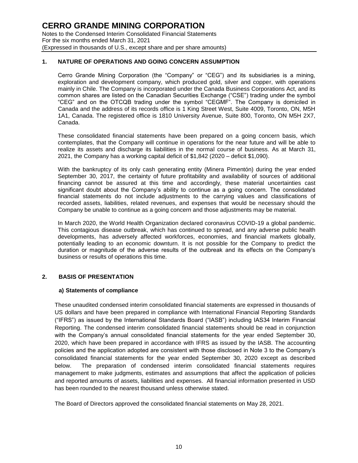#### **1. NATURE OF OPERATIONS AND GOING CONCERN ASSUMPTION**

Cerro Grande Mining Corporation (the "Company" or "CEG") and its subsidiaries is a mining, exploration and development company, which produced gold, silver and copper, with operations mainly in Chile. The Company is incorporated under the Canada Business Corporations Act, and its common shares are listed on the Canadian Securities Exchange ("CSE") trading under the symbol "CEG" and on the OTCQB trading under the symbol "CEGMF". The Company is domiciled in Canada and the address of its records office is 1 King Street West, Suite 4009, Toronto, ON, M5H 1A1, Canada. The registered office is 1810 University Avenue, Suite 800, Toronto, ON M5H 2X7, Canada.

These consolidated financial statements have been prepared on a going concern basis, which contemplates, that the Company will continue in operations for the near future and will be able to realize its assets and discharge its liabilities in the normal course of business. As at March 31, 2021, the Company has a working capital deficit of \$1,842 (2020 – deficit \$1,090).

With the bankruptcy of its only cash generating entity (Minera Pimentón) during the year ended September 30, 2017, the certainty of future profitability and availability of sources of additional financing cannot be assured at this time and accordingly, these material uncertainties cast significant doubt about the Company's ability to continue as a going concern. The consolidated financial statements do not include adjustments to the carrying values and classifications of recorded assets, liabilities, related revenues, and expenses that would be necessary should the Company be unable to continue as a going concern and those adjustments may be material.

In March 2020, the World Health Organization declared coronavirus COVID-19 a global pandemic. This contagious disease outbreak, which has continued to spread, and any adverse public health developments, has adversely affected workforces, economies, and financial markets globally, potentially leading to an economic downturn. It is not possible for the Company to predict the duration or magnitude of the adverse results of the outbreak and its effects on the Company's business or results of operations this time.

#### **2. BASIS OF PRESENTATION**

#### **a) Statements of compliance**

These unaudited condensed interim consolidated financial statements are expressed in thousands of US dollars and have been prepared in compliance with International Financial Reporting Standards ("IFRS") as issued by the International Standards Board ("IASB") including IAS34 Interim Financial Reporting. The condensed interim consolidated financial statements should be read in conjunction with the Company's annual consolidated financial statements for the year ended September 30, 2020, which have been prepared in accordance with IFRS as issued by the IASB. The accounting policies and the application adopted are consistent with those disclosed in Note 3 to the Company's consolidated financial statements for the year ended September 30, 2020 except as described below. The preparation of condensed interim consolidated financial statements requires management to make judgments, estimates and assumptions that affect the application of policies and reported amounts of assets, liabilities and expenses. All financial information presented in USD has been rounded to the nearest thousand unless otherwise stated.

The Board of Directors approved the consolidated financial statements on May 28, 2021.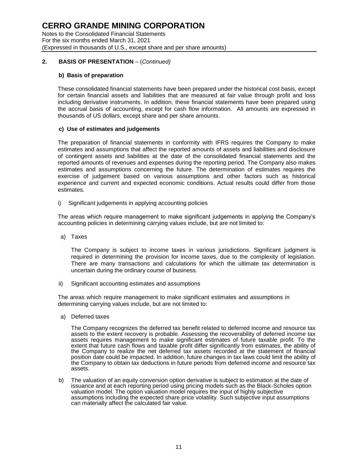Notes to the Consolidated Financial Statements For the six months ended March 31, 2021 (Expressed in thousands of U.S., except share and per share amounts)

### **2. BASIS OF PRESENTATION** – (*Continued)*

#### **b) Basis of preparation**

These consolidated financial statements have been prepared under the historical cost basis, except for certain financial assets and liabilities that are measured at fair value through profit and loss including derivative instruments. In addition, these financial statements have been prepared using the accrual basis of accounting, except for cash flow information. All amounts are expressed in thousands of US dollars, except share and per share amounts.

#### **c) Use of estimates and judgements**

The preparation of financial statements in conformity with IFRS requires the Company to make estimates and assumptions that affect the reported amounts of assets and liabilities and disclosure of contingent assets and liabilities at the date of the consolidated financial statements and the reported amounts of revenues and expenses during the reporting period. The Company also makes estimates and assumptions concerning the future. The determination of estimates requires the exercise of judgement based on various assumptions and other factors such as historical experience and current and expected economic conditions. Actual results could differ from those estimates.

i) Significant judgements in applying accounting policies

The areas which require management to make significant judgements in applying the Company's accounting policies in determining carrying values include, but are not limited to:

a) Taxes

The Company is subject to income taxes in various jurisdictions. Significant judgment is required in determining the provision for income taxes, due to the complexity of legislation. There are many transactions and calculations for which the ultimate tax determination is uncertain during the ordinary course of business.

ii) Significant accounting estimates and assumptions

The areas which require management to make significant estimates and assumptions in determining carrying values include, but are not limited to:

a) Deferred taxes

The Company recognizes the deferred tax benefit related to deferred income and resource tax assets to the extent recovery is probable. Assessing the recoverability of deferred income tax assets requires management to make significant estimates of future taxable profit. To the extent that future cash flows and taxable profit differ significantly from estimates, the ability of the Company to realize the net deferred tax assets recorded at the statement of financial position date could be impacted. In addition, future changes in tax laws could limit the ability of the Company to obtain tax deductions in future periods from deferred income and resource tax assets.

b) The valuation of an equity conversion option derivative is subject to estimation at the date of issuance and at each reporting period using pricing models such as the Black-Scholes option valuation model. The option valuation model requires the input of highly subjective assumptions including the expected share price volatility. Such subjective input assumptions can materially affect the calculated fair value.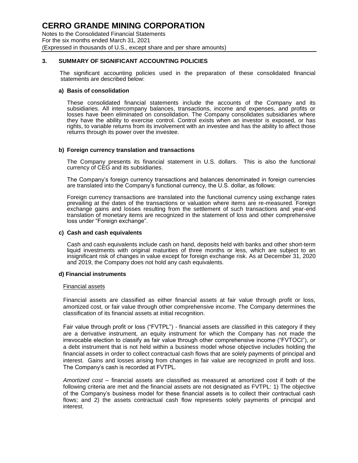Notes to the Consolidated Financial Statements For the six months ended March 31, 2021 (Expressed in thousands of U.S., except share and per share amounts)

### **3. SUMMARY OF SIGNIFICANT ACCOUNTING POLICIES**

The significant accounting policies used in the preparation of these consolidated financial statements are described below:

#### **a) Basis of consolidation**

These consolidated financial statements include the accounts of the Company and its subsidiaries. All intercompany balances, transactions, income and expenses, and profits or losses have been eliminated on consolidation. The Company consolidates subsidiaries where they have the ability to exercise control. Control exists when an investor is exposed, or has rights, to variable returns from its involvement with an investee and has the ability to affect those returns through its power over the investee.

#### **b) Foreign currency translation and transactions**

The Company presents its financial statement in U.S. dollars. This is also the functional currency of CEG and its subsidiaries.

The Company's foreign currency transactions and balances denominated in foreign currencies are translated into the Company's functional currency, the U.S. dollar, as follows:

Foreign currency transactions are translated into the functional currency using exchange rates prevailing at the dates of the transactions or valuation where items are re-measured. Foreign exchange gains and losses resulting from the settlement of such transactions and year-end translation of monetary items are recognized in the statement of loss and other comprehensive loss under "Foreign exchange".

#### **c) Cash and cash equivalents**

Cash and cash equivalents include cash on hand, deposits held with banks and other short-term liquid investments with original maturities of three months or less, which are subject to an insignificant risk of changes in value except for foreign exchange risk. As at December 31, 2020 and 2019, the Company does not hold any cash equivalents.

#### **d) Financial instruments**

#### Financial assets

Financial assets are classified as either financial assets at fair value through profit or loss, amortized cost, or fair value through other comprehensive income. The Company determines the classification of its financial assets at initial recognition.

Fair value through profit or loss ("FVTPL") - financial assets are classified in this category if they are a derivative instrument, an equity instrument for which the Company has not made the irrevocable election to classify as fair value through other comprehensive income ("FVTOCI"), or a debt instrument that is not held within a business model whose objective includes holding the financial assets in order to collect contractual cash flows that are solely payments of principal and interest. Gains and losses arising from changes in fair value are recognized in profit and loss. The Company's cash is recorded at FVTPL.

*Amortized cost* – financial assets are classified as measured at amortized cost if both of the following criteria are met and the financial assets are not designated as FVTPL: 1) The objective of the Company's business model for these financial assets is to collect their contractual cash flows; and 2) the assets contractual cash flow represents solely payments of principal and interest.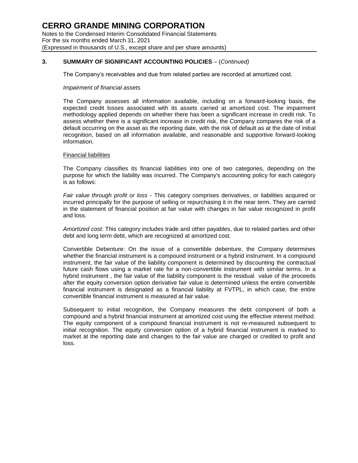#### **3. SUMMARY OF SIGNIFICANT ACCOUNTING POLICIES** – (*Continued)*

The Company's receivables and due from related parties are recorded at amortized cost.

#### *Impairment of financial assets*

The Company assesses all information available, including on a forward-looking basis, the expected credit losses associated with its assets carried at amortized cost. The impairment methodology applied depends on whether there has been a significant increase in credit risk. To assess whether there is a significant increase in credit risk, the Company compares the risk of a default occurring on the asset as the reporting date, with the risk of default as at the date of initial recognition, based on all information available, and reasonable and supportive forward-looking information.

#### Financial liabilities

The Company classifies its financial liabilities into one of two categories, depending on the purpose for which the liability was incurred. The Company's accounting policy for each category is as follows:

*Fair value through profit or loss* - This category comprises derivatives, or liabilities acquired or incurred principally for the purpose of selling or repurchasing it in the near term. They are carried in the statement of financial position at fair value with changes in fair value recognized in profit and loss.

*Amortized cost:* This category includes trade and other payables, due to related parties and other debt and long term debt, which are recognized at amortized cost.

Convertible Debenture: On the issue of a convertible debenture, the Company determines whether the financial instrument is a compound instrument or a hybrid instrument. In a compound instrument, the fair value of the liability component is determined by discounting the contractual future cash flows using a market rate for a non-convertible instrument with similar terms. In a hybrid instrument , the fair value of the liability component is the residual value of the proceeds after the equity conversion option derivative fair value is determined unless the entire convertible financial instrument is designated as a financial liability at FVTPL, in which case, the entire convertible financial instrument is measured at fair value.

Subsequent to initial recognition, the Company measures the debt component of both a compound and a hybrid financial instrument at amortized cost using the effective interest method. The equity component of a compound financial instrument is not re-measured subsequent to initial recognition. The equity conversion option of a hybrid financial instrument is marked to market at the reporting date and changes to the fair value are charged or credited to profit and loss.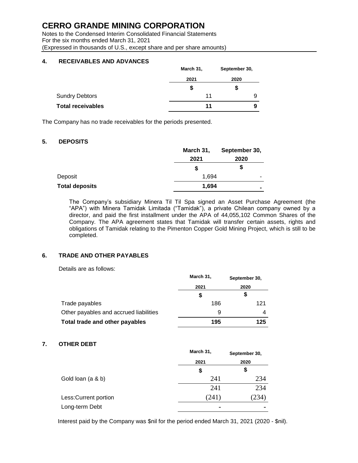Notes to the Condensed Interim Consolidated Financial Statements For the six months ended March 31, 2021 (Expressed in thousands of U.S., except share and per share amounts)

### **4. RECEIVABLES AND ADVANCES**

|                          | March 31, | September 30, |  |
|--------------------------|-----------|---------------|--|
|                          | 2021      | 2020          |  |
|                          | \$        | \$            |  |
| <b>Sundry Debtors</b>    | 11        | 9             |  |
| <b>Total receivables</b> | 11        | 9             |  |

The Company has no trade receivables for the periods presented.

### **5. DEPOSITS**

|                       | March 31, | September 30,  |
|-----------------------|-----------|----------------|
|                       | 2021      | 2020           |
|                       | \$        | \$             |
| Deposit               | 1,694     |                |
| <b>Total deposits</b> | 1,694     | $\blacksquare$ |

The Company's subsidiary Minera Til Til Spa signed an Asset Purchase Agreement (the "APA") with Minera Tamidak Limitada ("Tamidak"), a private Chilean company owned by a director, and paid the first installment under the APA of 44,055,102 Common Shares of the Company. The APA agreement states that Tamidak will transfer certain assets, rights and obligations of Tamidak relating to the Pimenton Copper Gold Mining Project, which is still to be completed.

### **6. TRADE AND OTHER PAYABLES**

Details are as follows:

|                                        | March 31, | September 30,<br>2020 |  |
|----------------------------------------|-----------|-----------------------|--|
|                                        | 2021      |                       |  |
|                                        | \$        |                       |  |
| Trade payables                         | 186       | 121                   |  |
| Other payables and accrued liabilities | 9         | 4                     |  |
| Total trade and other payables         | 195       | 125                   |  |

### **7. OTHER DEBT**

|                       | March 31,      | September 30, |
|-----------------------|----------------|---------------|
|                       | 2021           | 2020          |
|                       | \$             | \$            |
| Gold loan (a & b)     | 241            | 234           |
|                       | 241            | 234           |
| Less: Current portion | (241)          | 234)          |
| Long-term Debt        | $\blacksquare$ | ۰             |

Interest paid by the Company was \$nil for the period ended March 31, 2021 (2020 - \$nil).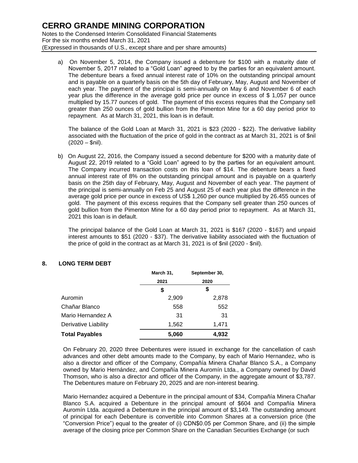a) On November 5, 2014, the Company issued a debenture for \$100 with a maturity date of November 5, 2017 related to a "Gold Loan" agreed to by the parties for an equivalent amount. The debenture bears a fixed annual interest rate of 10% on the outstanding principal amount and is payable on a quarterly basis on the 5th day of February, May, August and November of each year. The payment of the principal is semi-annually on May 6 and November 6 of each year plus the difference in the average gold price per ounce in excess of \$ 1,057 per ounce multiplied by 15.77 ounces of gold. The payment of this excess requires that the Company sell greater than 250 ounces of gold bullion from the Pimenton Mine for a 60 day period prior to repayment. As at March 31, 2021, this loan is in default.

The balance of the Gold Loan at March 31, 2021 is \$23 (2020 - \$22). The derivative liability associated with the fluctuation of the price of gold in the contract as at March 31, 2021 is of \$nil  $(2020 - Snil)$ .

b) On August 22, 2016, the Company issued a second debenture for \$200 with a maturity date of August 22, 2019 related to a "Gold Loan" agreed to by the parties for an equivalent amount. The Company incurred transaction costs on this loan of \$14. The debenture bears a fixed annual interest rate of 8% on the outstanding principal amount and is payable on a quarterly basis on the 25th day of February, May, August and November of each year. The payment of the principal is semi-annually on Feb 25 and August 25 of each year plus the difference in the average gold price per ounce in excess of US\$ 1,260 per ounce multiplied by 26.455 ounces of gold. The payment of this excess requires that the Company sell greater than 250 ounces of gold bullion from the Pimenton Mine for a 60 day period prior to repayment. As at March 31, 2021 this loan is in default.

The principal balance of the Gold Loan at March 31, 2021 is \$167 (2020 - \$167) and unpaid interest amounts to \$51 (2020 - \$37). The derivative liability associated with the fluctuation of the price of gold in the contract as at March 31, 2021 is of \$nil (2020 - \$nil).

### **8. LONG TERM DEBT**

|                       | March 31, | September 30,<br>2020 |  |
|-----------------------|-----------|-----------------------|--|
|                       | 2021      |                       |  |
|                       | \$        | \$                    |  |
| Auromin               | 2,909     | 2,878                 |  |
| Chañar Blanco         | 558       | 552                   |  |
| Mario Hernandez A     | 31        | 31                    |  |
| Derivative Liability  | 1,562     | 1,471                 |  |
| <b>Total Payables</b> | 5,060     | 4,932                 |  |

On February 20, 2020 three Debentures were issued in exchange for the cancellation of cash advances and other debt amounts made to the Company, by each of Mario Hernandez, who is also a director and officer of the Company, Compañía Minera Chañar Blanco S.A., a Company owned by Mario Hernández, and Compañía Minera Auromín Ltda., a Company owned by David Thomson, who is also a director and officer of the Company, in the aggregate amount of \$3,787. The Debentures mature on February 20, 2025 and are non-interest bearing.

Mario Hernandez acquired a Debenture in the principal amount of \$34, Compañía Minera Chañar Blanco S.A. acquired a Debenture in the principal amount of \$604 and Compañía Minera Auromín Ltda. acquired a Debenture in the principal amount of \$3,149. The outstanding amount of principal for each Debenture is convertible into Common Shares at a conversion price (the "Conversion Price") equal to the greater of (i) CDN\$0.05 per Common Share, and (ii) the simple average of the closing price per Common Share on the Canadian Securities Exchange (or such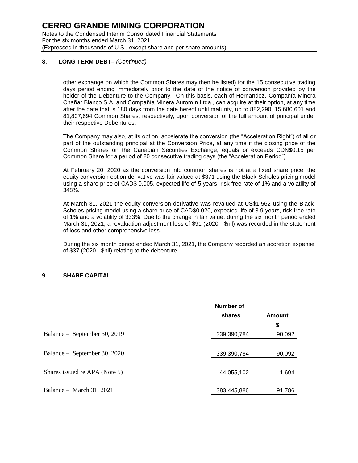#### **8. LONG TERM DEBT–** *(Continued)*

other exchange on which the Common Shares may then be listed) for the 15 consecutive trading days period ending immediately prior to the date of the notice of conversion provided by the holder of the Debenture to the Company. On this basis, each of Hernandez, Compañía Minera Chañar Blanco S.A. and Compañía Minera Auromín Ltda., can acquire at their option, at any time after the date that is 180 days from the date hereof until maturity, up to 882,290, 15,680,601 and 81,807,694 Common Shares, respectively, upon conversion of the full amount of principal under their respective Debentures.

The Company may also, at its option, accelerate the conversion (the "Acceleration Right") of all or part of the outstanding principal at the Conversion Price, at any time if the closing price of the Common Shares on the Canadian Securities Exchange, equals or exceeds CDN\$0.15 per Common Share for a period of 20 consecutive trading days (the "Acceleration Period").

At February 20, 2020 as the conversion into common shares is not at a fixed share price, the equity conversion option derivative was fair valued at \$371 using the Black-Scholes pricing model using a share price of CAD\$ 0.005, expected life of 5 years, risk free rate of 1% and a volatility of 348%.

At March 31, 2021 the equity conversion derivative was revalued at US\$1,562 using the Black-Scholes pricing model using a share price of CAD\$0.020, expected life of 3.9 years, risk free rate of 1% and a volatility of 333%. Due to the change in fair value, during the six month period ended March 31, 2021, a revaluation adjustment loss of \$91 (2020 - \$nil) was recorded in the statement of loss and other comprehensive loss.

During the six month period ended March 31, 2021, the Company recorded an accretion expense of \$37 (2020 - \$nil) relating to the debenture.

#### **9. SHARE CAPITAL**

|                               | Number of   |        |
|-------------------------------|-------------|--------|
|                               | shares      | Amount |
|                               |             | \$     |
| Balance – September 30, 2019  | 339,390,784 | 90,092 |
|                               |             |        |
| Balance – September 30, 2020  | 339,390,784 | 90,092 |
|                               |             |        |
| Shares issued re APA (Note 5) | 44,055,102  | 1,694  |
|                               |             |        |
| Balance – March 31, 2021      | 383,445,886 | 91,786 |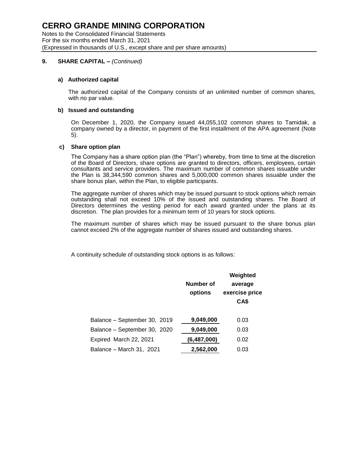Notes to the Consolidated Financial Statements For the six months ended March 31, 2021 (Expressed in thousands of U.S., except share and per share amounts)

### **9. SHARE CAPITAL –** *(Continued)*

#### **a) Authorized capital**

The authorized capital of the Company consists of an unlimited number of common shares, with no par value.

#### **b) Issued and outstanding**

On December 1, 2020, the Company issued 44,055,102 common shares to Tamidak, a company owned by a director, in payment of the first installment of the APA agreement (Note 5).

#### **c) Share option plan**

The Company has a share option plan (the "Plan") whereby, from time to time at the discretion of the Board of Directors, share options are granted to directors, officers, employees, certain consultants and service providers. The maximum number of common shares issuable under the Plan is 38,344,590 common shares and 5,000,000 common shares issuable under the share bonus plan, within the Plan, to eligible participants.

The aggregate number of shares which may be issued pursuant to stock options which remain outstanding shall not exceed 10% of the issued and outstanding shares. The Board of Directors determines the vesting period for each award granted under the plans at its discretion. The plan provides for a minimum term of 10 years for stock options.

The maximum number of shares which may be issued pursuant to the share bonus plan cannot exceed 2% of the aggregate number of shares issued and outstanding shares.

A continuity schedule of outstanding stock options is as follows:

|                              | Number of<br>options | Weighted<br>average<br>exercise price<br>CA\$ |
|------------------------------|----------------------|-----------------------------------------------|
| Balance - September 30, 2019 | 9,049,000            | 0.03                                          |
| Balance - September 30, 2020 | 9,049,000            | 0.03                                          |
| Expired March 22, 2021       | (6,487,000)          | 0.02                                          |
| Balance – March 31, 2021     | 2,562,000            | 0.03                                          |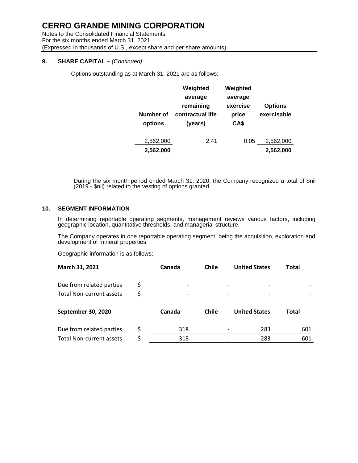Notes to the Consolidated Financial Statements For the six months ended March 31, 2021 (Expressed in thousands of U.S., except share and per share amounts)

#### **9. SHARE CAPITAL –** *(Continued)*

Options outstanding as at March 31, 2021 are as follows:

| Number of<br>options | Weighted<br>average<br>remaining<br>contractual life<br>(years) | Weighted<br>average<br>exercise<br>price<br>CA\$ | <b>Options</b><br>exercisable |
|----------------------|-----------------------------------------------------------------|--------------------------------------------------|-------------------------------|
| 2,562,000            | 2.41                                                            | 0.05                                             | 2,562,000                     |
| 2,562,000            |                                                                 |                                                  | 2,562,000                     |

During the six month period ended March 31, 2020, the Company recognized a total of \$nil (2019 - \$nil) related to the vesting of options granted.

#### **10. SEGMENT INFORMATION**

In determining reportable operating segments, management reviews various factors, including geographic location, quantitative thresholds, and managerial structure.

The Company operates in one reportable operating segment, being the acquisition, exploration and development of mineral properties.

Geographic information is as follows:

| March 31, 2021           |    | Canada | Chile        | <b>United States</b> |                      | Total        |
|--------------------------|----|--------|--------------|----------------------|----------------------|--------------|
| Due from related parties | Ş  |        |              |                      |                      |              |
| Total Non-current assets | \$ |        |              |                      |                      |              |
| September 30, 2020       |    | Canada | <b>Chile</b> |                      | <b>United States</b> | <b>Total</b> |
|                          |    |        |              |                      |                      |              |
| Due from related parties | Ś  | 318    |              |                      | 283                  | 601          |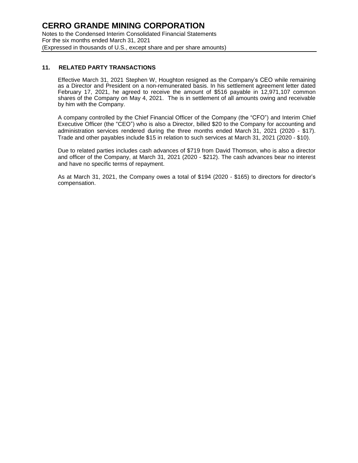#### **11. RELATED PARTY TRANSACTIONS**

Effective March 31, 2021 Stephen W, Houghton resigned as the Company's CEO while remaining as a Director and President on a non-remunerated basis. In his settlement agreement letter dated February 17, 2021, he agreed to receive the amount of \$516 payable in 12,971,107 common shares of the Company on May 4, 2021. The is in settlement of all amounts owing and receivable by him with the Company.

A company controlled by the Chief Financial Officer of the Company (the "CFO") and Interim Chief Executive Officer (the "CEO") who is also a Director, billed \$20 to the Company for accounting and administration services rendered during the three months ended March 31, 2021 (2020 - \$17). Trade and other payables include \$15 in relation to such services at March 31, 2021 (2020 - \$10).

Due to related parties includes cash advances of \$719 from David Thomson, who is also a director and officer of the Company, at March 31, 2021 (2020 - \$212). The cash advances bear no interest and have no specific terms of repayment.

As at March 31, 2021, the Company owes a total of \$194 (2020 - \$165) to directors for director's compensation.